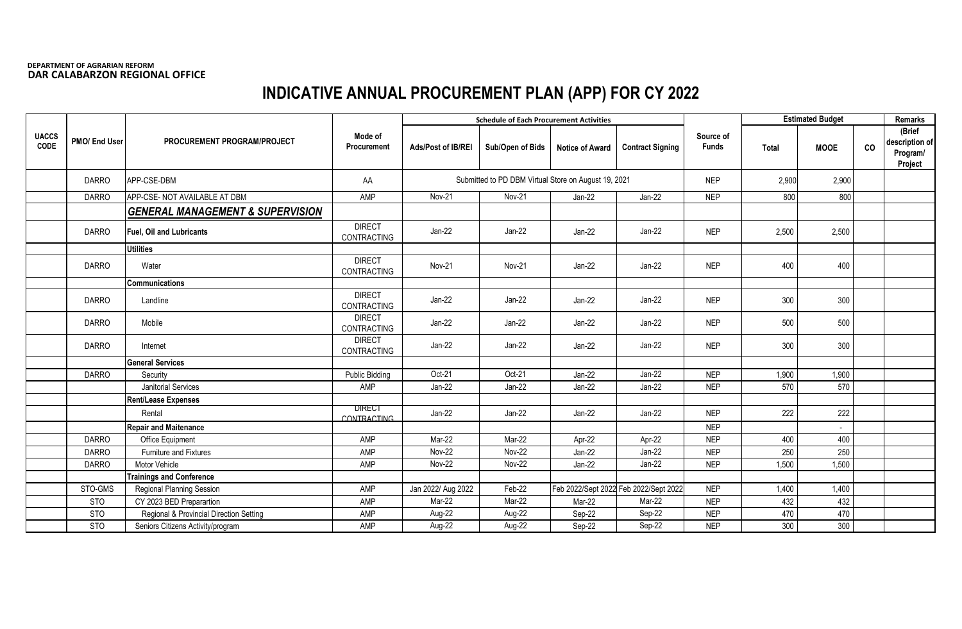## **DEPARTMENT OF AGRARIAN REFORM DAR CALABARZON REGIONAL OFFICE**

## **INDICATIVE ANNUAL PROCUREMENT PLAN (APP) FOR CY 2022**

|                             |               | PROCUREMENT PROGRAM/PROJECT                 |                                     |                    | <b>Schedule of Each Procurement Activities</b>       |                        |                                       |                           |       | <b>Estimated Budget</b> |    |                                                 |
|-----------------------------|---------------|---------------------------------------------|-------------------------------------|--------------------|------------------------------------------------------|------------------------|---------------------------------------|---------------------------|-------|-------------------------|----|-------------------------------------------------|
| <b>UACCS</b><br><b>CODE</b> | PMO/ End User |                                             | Mode of<br>Procurement              | Ads/Post of IB/REI | Sub/Open of Bids                                     | <b>Notice of Award</b> | <b>Contract Signing</b>               | Source of<br><b>Funds</b> | Total | <b>MOOE</b>             | co | (Brief<br>description of<br>Program/<br>Project |
|                             | <b>DARRO</b>  | APP-CSE-DBM                                 | AA                                  |                    | Submitted to PD DBM Virtual Store on August 19, 2021 |                        |                                       | <b>NEP</b>                | 2,900 | 2,900                   |    |                                                 |
|                             | <b>DARRO</b>  | APP-CSE- NOT AVAILABLE AT DBM               | AMP                                 | Nov-21             | <b>Nov-21</b>                                        | Jan-22                 | $Jan-22$                              | <b>NEP</b>                | 800   | 800                     |    |                                                 |
|                             |               | <b>GENERAL MANAGEMENT &amp; SUPERVISION</b> |                                     |                    |                                                      |                        |                                       |                           |       |                         |    |                                                 |
|                             | <b>DARRO</b>  | <b>Fuel, Oil and Lubricants</b>             | <b>DIRECT</b><br>CONTRACTING        | Jan-22             | Jan-22                                               | Jan-22                 | Jan-22                                | <b>NEP</b>                | 2,500 | 2,500                   |    |                                                 |
|                             |               | <b>Utilities</b>                            |                                     |                    |                                                      |                        |                                       |                           |       |                         |    |                                                 |
|                             | <b>DARRO</b>  | Water                                       | <b>DIRECT</b><br>CONTRACTING        | Nov-21             | Nov-21                                               | $Jan-22$               | Jan-22                                | <b>NEP</b>                | 400   | 400                     |    |                                                 |
|                             |               | <b>Communications</b>                       |                                     |                    |                                                      |                        |                                       |                           |       |                         |    |                                                 |
|                             | <b>DARRO</b>  | Landline                                    | <b>DIRECT</b><br>CONTRACTING        | Jan-22             | Jan-22                                               | $Jan-22$               | $Jan-22$                              | <b>NEP</b>                | 300   | 300                     |    |                                                 |
|                             | <b>DARRO</b>  | Mobile                                      | <b>DIRECT</b><br>CONTRACTING        | Jan-22             | Jan-22                                               | Jan-22                 | $Jan-22$                              | <b>NEP</b>                | 500   | 500                     |    |                                                 |
|                             | <b>DARRO</b>  | Internet                                    | <b>DIRECT</b><br>CONTRACTING        | $Jan-22$           | $Jan-22$                                             | Jan-22                 | $Jan-22$                              | <b>NEP</b>                | 300   | 300                     |    |                                                 |
|                             |               | <b>General Services</b>                     |                                     |                    |                                                      |                        |                                       |                           |       |                         |    |                                                 |
|                             | <b>DARRO</b>  | Security                                    | <b>Public Bidding</b>               | Oct-21             | Oct-21                                               | Jan-22                 | $Jan-22$                              | <b>NEP</b>                | 1,900 | 1,900                   |    |                                                 |
|                             |               | Janitorial Services                         | AMP                                 | Jan-22             | Jan-22                                               | Jan-22                 | Jan-22                                | <b>NEP</b>                | 570   | 570                     |    |                                                 |
|                             |               | Rent/Lease Expenses                         |                                     |                    |                                                      |                        |                                       |                           |       |                         |    |                                                 |
|                             |               | Rental                                      | <b>DIRECT</b><br><b>CONTRACTING</b> | $Jan-22$           | Jan-22                                               | Jan-22                 | $Jan-22$                              | <b>NEP</b>                | 222   | 222                     |    |                                                 |
|                             |               | <b>Repair and Maitenance</b>                |                                     |                    |                                                      |                        |                                       | <b>NEP</b>                |       |                         |    |                                                 |
|                             | <b>DARRO</b>  | Office Equipment                            | AMP                                 | Mar-22             | Mar-22                                               | Apr-22                 | Apr-22                                | <b>NEP</b>                | 400   | 400                     |    |                                                 |
|                             | <b>DARRO</b>  | Furniture and Fixtures                      | AMP                                 | <b>Nov-22</b>      | Nov-22                                               | Jan-22                 | $Jan-22$                              | <b>NEP</b>                | 250   | 250                     |    |                                                 |
|                             | <b>DARRO</b>  | Motor Vehicle                               | AMP                                 | Nov-22             | Nov-22                                               | $Jan-22$               | Jan-22                                | <b>NEP</b>                | 1,500 | 1,500                   |    |                                                 |
|                             |               | <b>Trainings and Conference</b>             |                                     |                    |                                                      |                        |                                       |                           |       |                         |    |                                                 |
|                             | STO-GMS       | <b>Regional Planning Session</b>            | AMP                                 | Jan 2022/ Aug 2022 | Feb-22                                               |                        | Feb 2022/Sept 2022 Feb 2022/Sept 2022 | <b>NEP</b>                | 1,400 | 1,400                   |    |                                                 |
|                             | <b>STO</b>    | CY 2023 BED Preparartion                    | AMP                                 | Mar-22             | Mar-22                                               | Mar-22                 | Mar-22                                | <b>NEP</b>                | 432   | 432                     |    |                                                 |
|                             | <b>STO</b>    | Regional & Provincial Direction Setting     | AMP                                 | Aug-22             | Aug-22                                               | Sep-22                 | Sep-22                                | <b>NEP</b>                | 470   | 470                     |    |                                                 |
|                             | <b>STO</b>    | Seniors Citizens Activity/program           | AMP                                 | Aug-22             | Aug-22                                               | Sep-22                 | Sep-22                                | <b>NEP</b>                | 300   | 300                     |    |                                                 |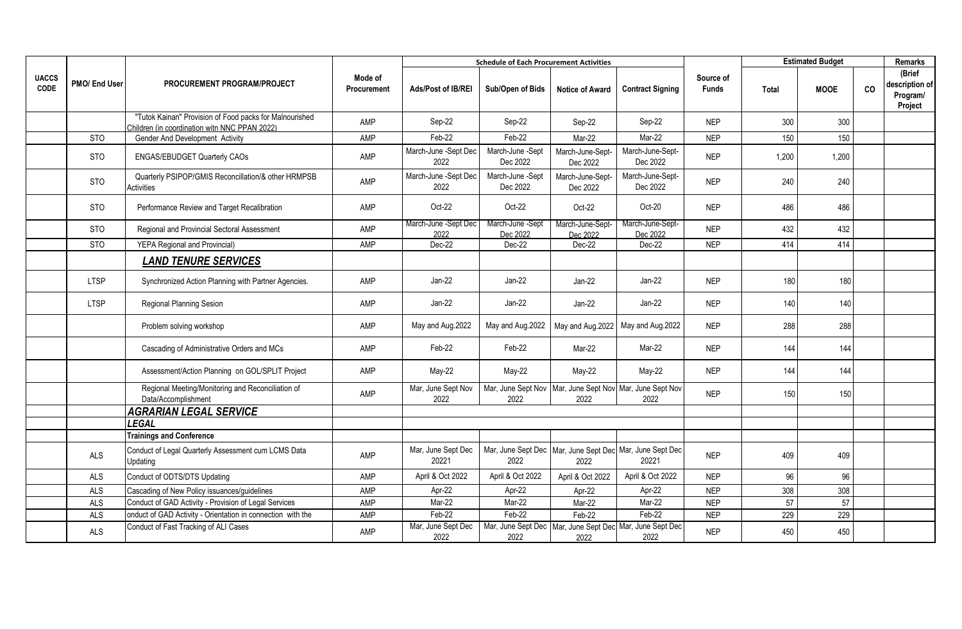|                             |               |                                                                                                          |                        | <b>Schedule of Each Procurement Activities</b> |                                                                      |                              |                              | <b>Estimated Budget</b>   |       |             | <b>Remarks</b> |                                                 |
|-----------------------------|---------------|----------------------------------------------------------------------------------------------------------|------------------------|------------------------------------------------|----------------------------------------------------------------------|------------------------------|------------------------------|---------------------------|-------|-------------|----------------|-------------------------------------------------|
| <b>UACCS</b><br><b>CODE</b> | PMO/ End User | PROCUREMENT PROGRAM/PROJECT                                                                              | Mode of<br>Procurement | Ads/Post of IB/REI                             | Sub/Open of Bids                                                     | <b>Notice of Award</b>       | <b>Contract Signing</b>      | Source of<br><b>Funds</b> | Total | <b>MOOE</b> | co             | (Brief<br>description of<br>Program/<br>Project |
|                             |               | "Tutok Kainan" Provision of Food packs for Malnourished<br>Children (in coordination witn NNC PPAN 2022) | AMP                    | Sep-22                                         | Sep-22                                                               | Sep-22                       | Sep-22                       | <b>NEP</b>                | 300   | 300         |                |                                                 |
|                             | <b>STO</b>    | Gender And Development Activity                                                                          | AMP                    | Feb-22                                         | Feb-22                                                               | Mar-22                       | Mar-22                       | <b>NEP</b>                | 150   | 150         |                |                                                 |
|                             | <b>STO</b>    | ENGAS/EBUDGET Quarterly CAOs                                                                             | AMP                    | March-June -Sept Dec<br>2022                   | March-June -Sept<br>Dec 2022                                         | March-June-Sept-<br>Dec 2022 | March-June-Sept-<br>Dec 2022 | <b>NEP</b>                | 1,200 | 1,200       |                |                                                 |
|                             | <b>STO</b>    | Quarterly PSIPOP/GMIS Reconcillation/& other HRMPSB<br>Activities                                        | AMP                    | March-June -Sept Dec<br>2022                   | March-June -Sept<br>Dec 2022                                         | March-June-Sept-<br>Dec 2022 | March-June-Sept-<br>Dec 2022 | <b>NEP</b>                | 240   | 240         |                |                                                 |
|                             | <b>STO</b>    | Performance Review and Target Recalibration                                                              | <b>AMP</b>             | Oct-22                                         | Oct-22                                                               | Oct-22                       | Oct-20                       | <b>NEP</b>                | 486   | 486         |                |                                                 |
|                             | <b>STO</b>    | Regional and Provincial Sectoral Assessment                                                              | AMP                    | March-June -Sept Dec<br>2022                   | March-June -Sept<br>Dec 2022                                         | March-June-Sept-<br>Dec 2022 | March-June-Sept-<br>Dec 2022 | <b>NEP</b>                | 432   | 432         |                |                                                 |
|                             | <b>STO</b>    | <b>YEPA Regional and Provincial)</b>                                                                     | <b>AMP</b>             | Dec-22                                         | Dec-22                                                               | Dec-22                       | Dec-22                       | <b>NEP</b>                | 414   | 414         |                |                                                 |
|                             |               | <b>LAND TENURE SERVICES</b>                                                                              |                        |                                                |                                                                      |                              |                              |                           |       |             |                |                                                 |
|                             | <b>LTSP</b>   | Synchronized Action Planning with Partner Agencies.                                                      | AMP                    | $Jan-22$                                       | $Jan-22$                                                             | $Jan-22$                     | $Jan-22$                     | <b>NEP</b>                | 180   | 180         |                |                                                 |
|                             | <b>LTSP</b>   | Regional Planning Sesion                                                                                 | AMP                    | $Jan-22$                                       | $Jan-22$                                                             | Jan-22                       | $Jan-22$                     | <b>NEP</b>                | 140   | 140         |                |                                                 |
|                             |               | Problem solving workshop                                                                                 | AMP                    | May and Aug.2022                               | May and Aug.2022                                                     | May and Aug.2022             | May and Aug.2022             | <b>NEP</b>                | 288   | 288         |                |                                                 |
|                             |               | Cascading of Administrative Orders and MCs                                                               | AMP                    | Feb-22                                         | Feb-22                                                               | Mar-22                       | Mar-22                       | <b>NEP</b>                | 144   | 144         |                |                                                 |
|                             |               | Assessment/Action Planning on GOL/SPLIT Project                                                          | AMP                    | May-22                                         | May-22                                                               | May-22                       | $May-22$                     | <b>NEP</b>                | 144   | 144         |                |                                                 |
|                             |               | Regional Meeting/Monitoring and Reconciliation of<br>Data/Accomplishment                                 | AMP                    | Mar, June Sept Nov<br>2022                     | Mar, June Sept Nov   Mar, June Sept Nov   Mar, June Sept Nov<br>2022 | 2022                         | 2022                         | <b>NEP</b>                | 150   | 150         |                |                                                 |
|                             |               | <b>AGRARIAN LEGAL SERVICE</b>                                                                            |                        |                                                |                                                                      |                              |                              |                           |       |             |                |                                                 |
|                             |               | <b>LEGAL</b>                                                                                             |                        |                                                |                                                                      |                              |                              |                           |       |             |                |                                                 |
|                             |               | <b>Trainings and Conference</b>                                                                          |                        |                                                |                                                                      |                              |                              |                           |       |             |                |                                                 |
|                             | ALS           | Conduct of Legal Quarterly Assessment cum LCMS Data<br>Updating                                          | AMP                    | Mar, June Sept Dec<br>20221                    | Mar, June Sept Dec   Mar, June Sept Dec   Mar, June Sept Dec<br>2022 | 2022                         | 20221                        | <b>NEP</b>                | 409   | 409         |                |                                                 |
|                             | <b>ALS</b>    | Conduct of ODTS/DTS Updating                                                                             | AMP                    | April & Oct 2022                               | April & Oct 2022                                                     | April & Oct 2022             | April & Oct 2022             | <b>NEP</b>                | 96    | 96          |                |                                                 |
|                             | ALS           | Cascading of New Policy issuances/guidelines                                                             | AMP                    | Apr-22                                         | Apr-22                                                               | Apr-22                       | Apr-22                       | <b>NEP</b>                | 308   | 308         |                |                                                 |
|                             | <b>ALS</b>    | Conduct of GAD Activity - Provision of Legal Services                                                    | AMP                    | Mar-22                                         | Mar-22                                                               | Mar-22                       | Mar-22                       | <b>NEP</b>                | 57    | 57          |                |                                                 |
|                             | ALS           | onduct of GAD Activity - Orientation in connection with the                                              | AMP                    | Feb-22                                         | Feb-22                                                               | Feb-22                       | Feb-22                       | <b>NEP</b>                | 229   | 229         |                |                                                 |
|                             | <b>ALS</b>    | Conduct of Fast Tracking of ALI Cases                                                                    | AMP                    | Mar, June Sept Dec<br>2022                     | Mar, June Sept Dec Mar, June Sept Dec Mar, June Sept Dec<br>2022     | 2022                         | 2022                         | <b>NEP</b>                | 450   | 450         |                |                                                 |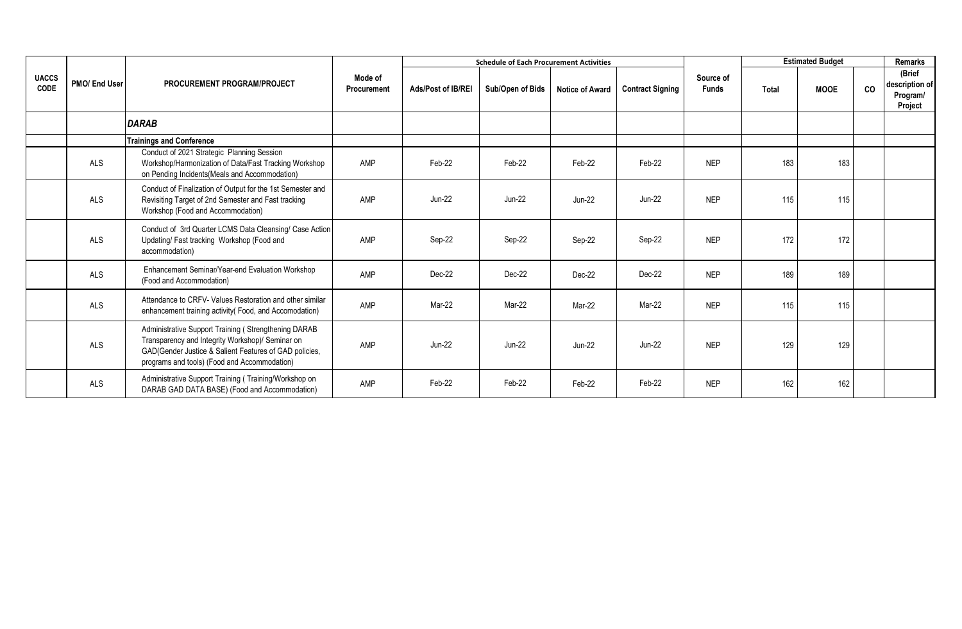|                             |               |                                                                                                                                                                                                                    |                        |                           | <b>Schedule of Each Procurement Activities</b> |                        |                         |                           | <b>Estimated Budget</b> |             | Remarks |                                                 |
|-----------------------------|---------------|--------------------------------------------------------------------------------------------------------------------------------------------------------------------------------------------------------------------|------------------------|---------------------------|------------------------------------------------|------------------------|-------------------------|---------------------------|-------------------------|-------------|---------|-------------------------------------------------|
| <b>UACCS</b><br><b>CODE</b> | PMO/ End User | PROCUREMENT PROGRAM/PROJECT                                                                                                                                                                                        | Mode of<br>Procurement | <b>Ads/Post of IB/REI</b> | Sub/Open of Bids                               | <b>Notice of Award</b> | <b>Contract Signing</b> | Source of<br><b>Funds</b> | Total                   | <b>MOOE</b> | co      | (Brief<br>description of<br>Program/<br>Project |
|                             |               | <b>DARAB</b>                                                                                                                                                                                                       |                        |                           |                                                |                        |                         |                           |                         |             |         |                                                 |
|                             |               | <b>Trainings and Conference</b>                                                                                                                                                                                    |                        |                           |                                                |                        |                         |                           |                         |             |         |                                                 |
|                             | <b>ALS</b>    | Conduct of 2021 Strategic Planning Session<br>Workshop/Harmonization of Data/Fast Tracking Workshop<br>on Pending Incidents (Meals and Accommodation)                                                              | AMP                    | Feb-22                    | Feb-22                                         | Feb-22                 | Feb-22                  | <b>NEP</b>                | 183                     | 183         |         |                                                 |
|                             | ALS           | Conduct of Finalization of Output for the 1st Semester and<br>Revisiting Target of 2nd Semester and Fast tracking<br>Workshop (Food and Accommodation)                                                             | AMP                    | <b>Jun-22</b>             | $Jun-22$                                       | <b>Jun-22</b>          | $Jun-22$                | <b>NEP</b>                | 115                     | 115         |         |                                                 |
|                             | <b>ALS</b>    | Conduct of 3rd Quarter LCMS Data Cleansing/ Case Action<br>Updating/Fast tracking Workshop (Food and<br>accommodation)                                                                                             | AMP                    | Sep-22                    | Sep-22                                         | Sep-22                 | Sep-22                  | <b>NEP</b>                | 172                     | 172         |         |                                                 |
|                             | ALS           | Enhancement Seminar/Year-end Evaluation Workshop<br>(Food and Accommodation)                                                                                                                                       | AMP                    | Dec-22                    | Dec-22                                         | Dec-22                 | Dec-22                  | <b>NEP</b>                | 189                     | 189         |         |                                                 |
|                             | <b>ALS</b>    | Attendance to CRFV- Values Restoration and other similar<br>enhancement training activity (Food, and Accomodation)                                                                                                 | AMP                    | Mar-22                    | Mar-22                                         | Mar-22                 | Mar-22                  | <b>NEP</b>                | 115                     | 115         |         |                                                 |
|                             | ALS           | Administrative Support Training (Strengthening DARAB<br>Transparency and Integrity Workshop)/ Seminar on<br>GAD(Gender Justice & Salient Features of GAD policies,<br>programs and tools) (Food and Accommodation) | AMP                    | <b>Jun-22</b>             | <b>Jun-22</b>                                  | <b>Jun-22</b>          | $Jun-22$                | <b>NEP</b>                | 129                     | 129         |         |                                                 |
|                             | ALS           | Administrative Support Training (Training/Workshop on<br>DARAB GAD DATA BASE) (Food and Accommodation)                                                                                                             | AMP                    | Feb-22                    | Feb-22                                         | Feb-22                 | Feb-22                  | <b>NEP</b>                | 162                     | 162         |         |                                                 |